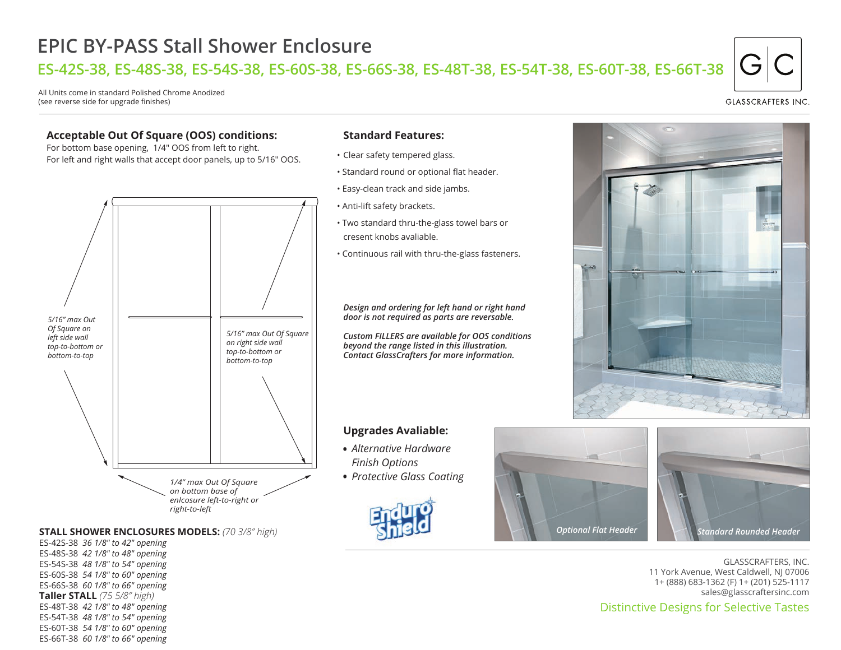# **EPIC BY-PASS Stall Shower Enclosure**

**ES-42S-38, ES-48S-38, ES-54S-38, ES-60S-38, ES-66S-38, ES-48T-38, ES-54T-38, ES-60T-38, ES-66T-38**

All Units come in standard Polished Chrome Anodized (see reverse side for upgrade finishes)

### **Acceptable Out Of Square (OOS) conditions:**

For bottom base opening, 1/4" OOS from left to right. For left and right walls that accept door panels, up to 5/16" OOS.



## **STALL SHOWER ENCLOSURES MODELS:** (70 3/8" high) *Optional Flat Header Optional Flat Header Standard Rounded Header*

ES-42S-38 *36 1/8" to 42" opening* ES-48S-38 *42 1/8" to 48" opening* ES-54S-38 *48 1/8" to 54" opening* ES-60S-38 *54 1/8" to 60" opening* ES-66S-38 *60 1/8" to 66" opening* **Taller STALL** *(75 5/8" high)* ES-48T-38 *42 1/8" to 48" opening* ES-54T-38 *48 1/8" to 54" opening* ES-60T-38 *54 1/8" to 60" opening* ES-66T-38 *60 1/8" to 66" opening*

#### **Standard Features:**

- Clear safety tempered glass.
- Standard round or optional flat header.
- Easy-clean track and side jambs.
- Anti-lift safety brackets.
- Two standard thru-the-glass towel bars or cresent knobs avaliable.
- Continuous rail with thru-the-glass fasteners.

*Design and ordering for left hand or right hand door is not required as parts are reversable.*

*Custom FILLERS are available for OOS conditions beyond the range listed in this illustration. Contact GlassCrafters for more information.*

#### **Upgrades Avaliable:**

- *Alternative Hardware Finish Options*
- *Protective Glass Coating* •







GLASSCRAFTERS, INC. 11 York Avenue, West Caldwell, NJ 07006 1+ (888) 683-1362 (F) 1+ (201) 525-1117 sales@glasscraftersinc.com

# Distinctive Designs for Selective Tastes

**GLASSCRAFTERS INC**